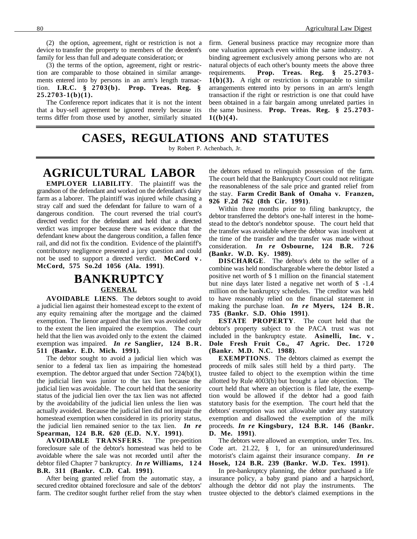(2) the option, agreement, right or restriction is not a device to transfer the property to members of the decedent's family for less than full and adequate consideration; or

(3) the terms of the option, agreement, right or restriction are comparable to those obtained in similar arrangements entered into by persons in an arm's length transaction. **I.R.C. § 2703(b). Prop. Treas. Reg. § 25.2703-1(b)(1).**

The Conference report indicates that it is not the intent that a buy-sell agreement be ignored merely because its terms differ from those used by another, similarly situated firm. General business practice may recognize more than one valuation approach even within the same industry. A binding agreement exclusively among persons who are not natural objects of each other's bounty meets the above three requirements. **Prop. Treas. Reg. § 25.2703- 1(b)(3).** A right or restriction is comparable to similar arrangements entered into by persons in an arm's length transaction if the right or restriction is one that could have been obtained in a fair bargain among unrelated parties in the same business. **Prop. Treas. Reg. § 25.2703-**  $1((b)(4).$ 

### **CASES, REGULATIONS AND STATUTES** by Robert P. Achenbach, Jr.

# **AGRICULTURAL LABOR**

**EMPLOYER LIABILITY**. The plaintiff was the grandson of the defendant and worked on the defendant's dairy farm as a laborer. The plaintiff was injured while chasing a stray calf and sued the defendant for failure to warn of a dangerous condition. The court reversed the trial court's directed verdict for the defendant and held that a directed verdict was improper because there was evidence that the defendant knew about the dangerous condition, a fallen fence rail, and did not fix the condition. Evidence of the plaintiff's contributory negligence presented a jury question and could not be used to support a directed verdict. **McCord v . McCord, 575 So.2d 1056 (Ala. 1991)**.

# **BANKRUPTCY GENERAL**

**AVOIDABLE LIENS**. The debtors sought to avoid a judicial lien against their homestead except to the extent of any equity remaining after the mortgage and the claimed exemption. The lienor argued that the lien was avoided only to the extent the lien impaired the exemption. The court held that the lien was avoided only to the extent the claimed exemption was impaired. *In re* **Sanglier, 124 B.R. 511 (Bankr. E.D. Mich. 1991)**.

The debtor sought to avoid a judicial lien which was senior to a federal tax lien as impairing the homestead exemption. The debtor argued that under Section 724(b)(1), the judicial lien was junior to the tax lien because the judicial lien was avoidable. The court held that the seniority status of the judicial lien over the tax lien was not affected by the avoidability of the judicial lien unless the lien was actually avoided. Because the judicial lien did not impair the homestead exemption when considered in its priority status, the judicial lien remained senior to the tax lien. *In re* **Spearman, 124 B.R. 620 (E.D. N.Y. 1991)**.

**AVOIDABLE TRANSFERS**. The pre-petition foreclosure sale of the debtor's homestead was held to be avoidable where the sale was not recorded until after the debtor filed Chapter 7 bankruptcy. *In re* **Williams, 124 B.R. 311 (Bankr. C.D. Cal. 1991)**.

After being granted relief from the automatic stay, a secured creditor obtained foreclosure and sale of the debtors' farm. The creditor sought further relief from the stay when the debtors refused to relinquish possession of the farm. The court held that the Bankruptcy Court could not relitigate the reasonableness of the sale price and granted relief from the stay. **Farm Credit Bank of Omaha v. Franzen, 926 F.2d 762 (8th Cir. 1991)**.

Within three months prior to filing bankruptcy, the debtor transferred the debtor's one-half interest in the homestead to the debtor's nondebtor spouse. The court held that the transfer was avoidable where the debtor was insolvent at the time of the transfer and the transfer was made without consideration. *In re* **Osbourne, 124 B.R. 726 (Bankr. W.D. Ky. 1989)**.

**DISCHARGE**. The debtor's debt to the seller of a combine was held nondischargeable where the debtor listed a positive net worth of \$ 1 million on the financial statement but nine days later listed a negative net worth of \$ -1.4 million on the bankruptcy schedules. The creditor was held to have reasonably relied on the financial statement in making the purchase loan. *In re* **Myers, 124 B.R. 735 (Bankr. S.D. Ohio 1991)**.

**ESTATE PROPERTY**. The court held that the debtor's property subject to the PACA trust was not included in the bankruptcy estate. **Asinelli, Inc. v . Dole Fresh Fruit Co., 47 Agric. Dec. 1720 (Bankr. M.D. N.C. 1988)**.

**EXEMPTIONS**. The debtors claimed as exempt the proceeds of milk sales still held by a third party. The trustee failed to object to the exemption within the time allotted by Rule 4003(b) but brought a late objection. The court held that where an objection is filed late, the exemption would be allowed if the debtor had a good faith statutory basis for the exemption. The court held that the debtors' exemption was not allowable under any statutory exemption and disallowed the exemption of the milk proceeds. *In re* **Kingsbury, 124 B.R. 146 (Bankr. D. Me. 1991)**.

The debtors were allowed an exemption, under Tex. Ins. Code art. 21.22, § 1, for an uninsured/underinsured motorist's claim against their insurance company. *In re* **Hosek, 124 B.R. 239 (Bankr. W.D. Tex. 1991)**.

In pre-bankruptcy planning, the debtor purchased a life insurance policy, a baby grand piano and a harpsichord, although the debtor did not play the instruments. The trustee objected to the debtor's claimed exemptions in the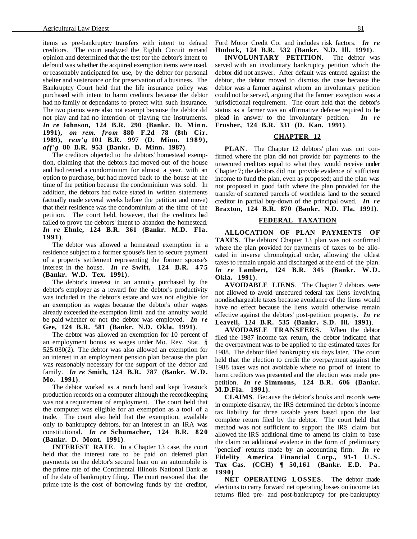items as pre-bankruptcy transfers with intent to defraud creditors. The court analyzed the Eighth Circuit remand opinion and determined that the test for the debtor's intent to defraud was whether the acquired exemption items were used, or reasonably anticipated for use, by the debtor for personal shelter and sustenance or for preservation of a business. The Bankruptcy Court held that the life insurance policy was purchased with intent to harm creditors because the debtor had no family or dependants to protect with such insurance. The two pianos were also not exempt because the debtor did not play and had no intention of playing the instruments. *In re* **Johnson, 124 B.R. 290 (Bankr. D. Minn. 1991),** *on rem. from* **880 F.2d 78 (8th Cir. 1989),** *rem'g* **101 B.R. 997 (D. Minn. 1989),** *aff'g* **80 B.R. 953 (Bankr. D. Minn. 1987)**.

The creditors objected to the debtors' homestead exemption, claiming that the debtors had moved out of the house and had rented a condominium for almost a year, with an option to purchase, but had moved back to the house at the time of the petition because the condominium was sold. In addition, the debtors had twice stated in written statements (actually made several weeks before the petition and move) that their residence was the condominium at the time of the petition. The court held, however, that the creditors had failed to prove the debtors' intent to abandon the homestead. *In re* **Ehnle, 124 B.R. 361 (Bankr. M.D. Fla. 1991)**.

The debtor was allowed a homestead exemption in a residence subject to a former spouse's lien to secure payment of a property settlement representing the former spouse's interest in the house. *In re* **Swift, 124 B.R. 475 (Bankr. W.D. Tex. 1991)**.

The debtor's interest in an annuity purchased by the debtor's employer as a reward for the debtor's productivity was included in the debtor's estate and was not eligible for an exemption as wages because the debtor's other wages already exceeded the exemption limit and the annuity would be paid whether or not the debtor was employed. *In re* **Gee, 124 B.R. 581 (Bankr. N.D. Okla. 1991)**.

The debtor was allowed an exemption for 10 percent of an employment bonus as wages under Mo. Rev. Stat. § 525.030(2). The debtor was also allowed an exemption for an interest in an employment pension plan because the plan was reasonably necessary for the support of the debtor and family. *In re* **Smith, 124 B.R. 787 (Bankr. W.D. Mo. 1991)**.

The debtor worked as a ranch hand and kept livestock production records on a computer although the recordkeeping was not a requirement of employment. The court held that the computer was eligible for an exemption as a tool of a trade. The court also held that the exemption, available only to bankruptcy debtors, for an interest in an IRA was constitutional. *In re* **Schumacher, 124 B.R. 820 (Bankr. D. Mont. 1991)**.

**INTEREST RATE.** In a Chapter 13 case, the court held that the interest rate to be paid on deferred plan payments on the debtor's secured loan on an automobile is the prime rate of the Continental Illinois National Bank as of the date of bankruptcy filing. The court reasoned that the prime rate is the cost of borrowing funds by the creditor, Ford Motor Credit Co. and includes risk factors. *In re* **Hudock, 124 B.R. 532 (Bankr. N.D. Ill. 1991)**.

**INVOLUNTARY PETITION**. The debtor was served with an involuntary bankruptcy petition which the debtor did not answer. After default was entered against the debtor, the debtor moved to dismiss the case because the debtor was a farmer against whom an involuntary petition could not be served, arguing that the farmer exception was a jurisdictional requirement. The court held that the debtor's status as a farmer was an affirmative defense required to be plead in answer to the involuntary petition. *In re* **Frusher, 124 B.R. 331 (D. Kan. 1991)**.

#### **CHAPTER 12**

**PLAN**. The Chapter 12 debtors' plan was not confirmed where the plan did not provide for payments to the unsecured creditors equal to what they would receive under Chapter 7; the debtors did not provide evidence of sufficient income to fund the plan, even as proposed; and the plan was not proposed in good faith where the plan provided for the transfer of scattered parcels of worthless land to the secured creditor in partial buy-down of the principal owed. *In re* **Braxton, 124 B.R. 870 (Bankr. N.D. Fla. 1991)**.

#### **FEDERAL TAXATION**

**ALLOCATION OF PLAN PAYMENTS OF TAXES**. The debtors' Chapter 13 plan was not confirmed where the plan provided for payments of taxes to be allocated in inverse chronological order, allowing the oldest taxes to remain unpaid and discharged at the end of the plan. *In re* **Lambert, 124 B.R. 345 (Bankr. W.D. Okla. 1991)**.

**AVOIDABLE LIENS**. The Chapter 7 debtors were not allowed to avoid unsecured federal tax liens involving nondischargeable taxes because avoidance of the liens would have no effect because the liens would otherwise remain effective against the debtors' post-petition property. *In re* **Leavell, 124 B.R. 535 (Bankr. S.D. Ill. 1991)**.

**AVOIDABLE TRANSFERS**. When the debtor filed the 1987 income tax return, the debtor indicated that the overpayment was to be applied to the estimated taxes for 1988. The debtor filed bankruptcy six days later. The court held that the election to credit the overpayment against the 1988 taxes was not avoidable where no proof of intent to harm creditors was presented and the election was made prepetition. *In re* **Simmons, 124 B.R. 606 (Bankr. M.D.Fla. 1991)**.

**CLAIMS**. Because the debtor's books and records were in complete disarray, the IRS determined the debtor's income tax liability for three taxable years based upon the last complete return filed by the debtor. The court held that method was not sufficient to support the IRS claim but allowed the IRS additional time to amend its claim to base the claim on additional evidence in the form of preliminary "penciled" returns made by an accounting firm. *In re* **Fidelity America Financial Corp., 91-1 U.S. Tax Cas. (CCH) ¶ 50,161 (Bankr. E.D. Pa. 1990)**.

**NET OPERATING LOSSES**. The debtor made elections to carry forward net operating losses on income tax returns filed pre- and post-bankruptcy for pre-bankruptcy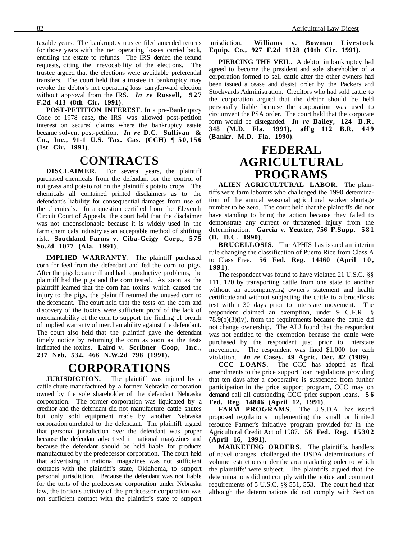taxable years. The bankruptcy trustee filed amended returns for those years with the net operating losses carried back, entitling the estate to refunds. The IRS denied the refund requests, citing the irrevocability of the elections. The trustee argued that the elections were avoidable preferential transfers. The court held that a trustee in bankruptcy may revoke the debtor's net operating loss carryforward election without approval from the IRS. *In re* **Russell, 927 F.2d 413 (8th Cir. 1991)**.

**POST-PETITION INTEREST**. In a pre-Bankruptcy Code of 1978 case, the IRS was allowed post-petition interest on secured claims where the bankruptcy estate became solvent post-petition. *In re* **D.C. Sullivan & Co., Inc., 91-1 U.S. Tax. Cas. (CCH) ¶ 50,156 (1st Cir. 1991)**.

### **CONTRACTS**

**DISCLAIMER**. For several years, the plaintiff purchased chemicals from the defendant for the control of nut grass and potato rot on the plaintiff's potato crops. The chemicals all contained printed disclaimers as to the defendant's liability for consequential damages from use of the chemicals. In a question certified from the Eleventh Circuit Court of Appeals, the court held that the disclaimer was not unconscionable because it is widely used in the farm chemicals industry as an acceptable method of shifting risk. **Southland Farms v. Ciba-Geigy Corp., 575 So.2d 1077 (Ala. 1991)**.

**IMPLIED WARRANTY**. The plaintiff purchased corn for feed from the defendant and fed the corn to pigs. After the pigs became ill and had reproductive problems, the plaintiff had the pigs and the corn tested. As soon as the plaintiff learned that the corn had toxins which caused the injury to the pigs, the plaintiff returned the unused corn to the defendant. The court held that the tests on the corn and discovery of the toxins were sufficient proof of the lack of merchantability of the corn to support the finding of breach of implied warranty of merchantability against the defendant. The court also held that the plaintiff gave the defendant timely notice by returning the corn as soon as the tests indicated the toxins. **Laird v. Scribner Coop, Inc., 237 Neb. 532, 466 N.W.2d 798 (1991)**.

### **CORPORATIONS**

**JURISDICTION.** The plaintiff was injured by a cattle chute manufactured by a former Nebraska corporation owned by the sole shareholder of the defendant Nebraska corporation. The former corporation was liquidated by a creditor and the defendant did not manufacture cattle shutes but only sold equipment made by another Nebraska corporation unrelated to the defendant. The plaintiff argued that personal jurisdiction over the defendant was proper because the defendant advertised in national magazines and because the defendant should be held liable for products manufactured by the predecessor corporation. The court held that advertising in national magazines was not sufficient contacts with the plaintiff's state, Oklahoma, to support personal jurisdiction. Because the defendant was not liable for the torts of the predecessor corporation under Nebraska law, the tortious activity of the predecessor corporation was not sufficient contact with the plaintiff's state to support jurisdiction. **Williams v. Bowman Livestock Equip. Co., 927 F.2d 1128 (10th Cir. 1991)**.

**PIERCING THE VEIL**. A debtor in bankruptcy had agreed to become the president and sole shareholder of a corporation formed to sell cattle after the other owners had been issued a cease and desist order by the Packers and Stockyards Administration. Creditors who had sold cattle to the corporation argued that the debtor should be held personally liable because the corporation was used to circumvent the PSA order. The court held that the corporate form would be disregarded. *In re* **Bailey, 124 B.R. 348 (M.D. Fla. 1991), aff'g 112 B.R. 449 (Bankr. M.D. Fla. 1990)**.

### **FEDERAL AGRICULTURAL PROGRAMS**

**ALIEN AGRICULTURAL LABOR**. The plaintiffs were farm laborers who challenged the 1990 determination of the annual seasonal agricultural worker shortage number to be zero. The court held that the plaintiffs did not have standing to bring the action because they failed to demonstrate any current or threatened injury from the determination. **Garcia v. Yeutter, 756 F.Supp. 581 (D. D.C. 1990)**.

**BRUCELLOSIS**. The APHIS has issued an interim rule changing the classification of Puerto Rice from Class A to Class Free. **56 Fed. Reg. 14460 (April 10, 1991)**.

The respondent was found to have violated 21 U.S.C. §§ 111, 120 by transporting cattle from one state to another without an accompanying owner's statement and health certificate and without subjecting the cattle to a brucellosis test within 30 days prior to interstate movement. The respondent claimed an exemption, under 9 C.F.R. § 78.9(b)(3)(iv), from the requirements because the cattle did not change ownership. The ALJ found that the respondent was not entitled to the exemption because the cattle were purchased by the respondent just prior to interstate movement. The respondent was fined \$1,000 for each violation. *In re* **Casey, 49 Agric. Dec. 82 (1989)**.

**CCC LOANS**. The CCC has adopted as final amendments to the price support loan regulations providing that ten days after a cooperative is suspended from further participation in the price support program, CCC may on demand call all outstanding CCC price support loans. **5 6 Fed. Reg. 14846 (April 12, 1991)**.

**FARM PROGRAMS**. The U.S.D.A. has issued proposed regulations implementing the small or limited resource Farmer's initiative program provided for in the Agricultural Credit Act of 1987. **56 Fed. Reg. 15302 (April 16, 1991)**.

**MARKETING ORDERS**. The plaintiffs, handlers of navel oranges, challenged the USDA determinations of volume restrictions under the area marketing order to which the plaintiffs' were subject. The plaintiffs argued that the determinations did not comply with the notice and comment requirements of 5 U.S.C. §§ 551, 553. The court held that although the determinations did not comply with Section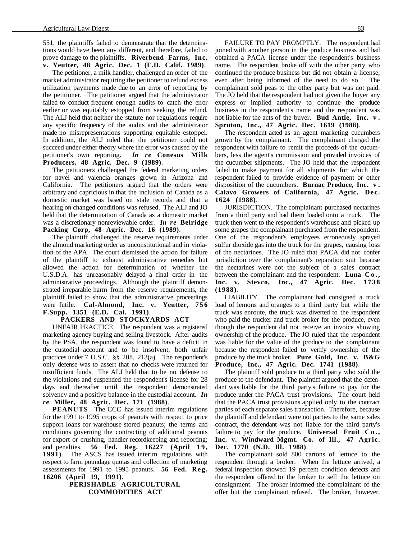551, the plaintiffs failed to demonstrate that the determinations would have been any different, and therefore, failed to prove damage to the plaintiffs. **Riverbend Farms, Inc. v. Yeutter, 48 Agric. Dec. 1 (E.D. Calif. 1989)**.

The petitioner, a milk handler, challenged an order of the market administrator requiring the petitioner to refund excess utilization payments made due to an error of reporting by the petitioner. The petitioner argued that the administrator failed to conduct frequent enough audits to catch the error earlier or was equitably estopped from seeking the refund. The ALJ held that neither the statute nor regulations require any specific frequency of the audits and the administrator made no misrepresentations supporting equitable estoppel. In addition, the ALJ ruled that the petitioner could not succeed under either theory where the error was caused by the petitioner's own reporting. *In re* **Conesus Milk Producers, 48 Agric. Dec. 9 (1989)**.

The petitioners challenged the federal marketing orders for navel and valencia oranges grown in Arizona and California. The petitioners argued that the orders were arbitrary and capricious in that the inclusion of Canada as a domestic market was based on stale records and that a hearing on changed conditions was refused. The ALJ and JO held that the determination of Canada as a domestic market was a discretionary nonreviewable order. *In re* **Belridge Packing Corp, 48 Agric. Dec. 16 (1989)**.

The plaintiff challenged the reserve requirements under the almond marketing order as unconstitutional and in violation of the APA. The court dismissed the action for failure of the plaintiff to exhaust administrative remedies but allowed the action for determination of whether the U.S.D.A. has unreasonably delayed a final order in the administrative proceedings. Although the plaintiff demonstrated irreparable harm from the reserve requirements, the plaintiff failed to show that the administrative proceedings were futile. **Cal-Almond, Inc. v. Yeutter, 756 F.Supp. 1351 (E.D. Cal. 1991)**.

#### **PACKERS AND STOCKYARDS ACT**

UNFAIR PRACTICE. The respondent was a registered marketing agency buying and selling livestock. After audits by the PSA, the respondent was found to have a deficit in the custodial account and to be insolvent, both unfair practices under 7 U.S.C. §§ 208, 213(a). The respondent's only defense was to assert that no checks were returned for insufficient funds. The ALJ held that to be no defense to the violations and suspended the respondent's license for 28 days and thereafter until the respondent demonstrated solvency and a positive balance in the custodial account. *In re* **Miller, 48 Agric. Dec. 171 (1988)**.

**PEANUTS**. The CCC has issued interim regulations for the 1991 to 1995 crops of peanuts with respect to price support loans for warehouse stored peanuts; the terms and conditions governing the contracting of additional peanuts for export or crushing, handler recordkeeping and reporting; and penalties. **56 Fed. Reg. 16227** (April 19, **1991)**. The ASCS has issued interim regulations with respect to farm poundage quotas and collection of marketing assessments for 1991 to 1995 peanuts. **56 Fed. Reg. 16206 (April 19, 1991)**.

#### **PERISHABLE AGRICULTURAL COMMODITIES ACT**

FAILURE TO PAY PROMPTLY. The respondent had joined with another person in the produce business and had obtained a PACA license under the respondent's business name. The respondent broke off with the other party who continued the produce business but did not obtain a license, even after being informed of the need to do so. The complainant sold peas to the other party but was not paid. The JO held that the respondent had not given the buyer any express or implied authority to continue the produce business in the respondent's name and the respondent was not liable for the acts of the buyer. **Bud Antle, Inc. v . Spruton, Inc., 47 Agric. Dec. 1619 (1988)**.

The respondent acted as an agent marketing cucumbers grown by the complainant. The complainant charged the respondent with failure to remit the proceeds of the cucumbers, less the agent's commission and provided invoices of the cucumber shipments. The JO held that the respondent failed to make payment for all shipments for which the respondent failed to provide evidence of payment or other disposition of the cucumbers. **Burnac Produce, Inc. v . Calavo Growers of California, 47 Agric. Dec. 1624 (1988)**.

JURISDICTION. The complainant purchased nectarines from a third party and had them loaded onto a truck. The truck then went to the respondent's warehouse and picked up some grapes the complainant purchased from the respondent. One of the respondent's employees erroneously sprayed sulfur dioxide gas into the truck for the grapes, causing loss of the nectarines. The JO ruled that PACA did not confer jurisdiction over the complainant's reparation suit because the nectarines were not the subject of a sales contract between the complainant and the respondent. **Luna Co., Inc. v. Stevco, Inc., 47 Agric. Dec. 1738 (1988)**.

LIABILITY. The complainant had consigned a truck load of lemons and oranges to a third party but while the truck was enroute, the truck was diverted to the respondent who paid the trucker and truck broker for the produce, even though the respondent did not receive an invoice showing ownership of the produce. The JO ruled that the respondent was liable for the value of the produce to the complainant because the respondent failed to verify ownership of the produce by the truck broker. **Pure Gold, Inc. v. B&G Produce, Inc., 47 Agric. Dec. 1741 (1988)**.

The plaintiff sold produce to a third party who sold the produce to the defendant. The plaintiff argued that the defendant was liable for the third party's failure to pay for the produce under the PACA trust provisions. The court held that the PACA trust provisions applied only to the contract parties of each separate sales transaction. Therefore, because the plaintiff and defendant were not parties to the same sales contract, the defendant was not liable for the third party's failure to pay for the produce. **Universal Fruit Co., Inc. v. Windward Mgmt. Co. of Ill., 47 Agric. Dec. 1770 (N.D. Ill. 1988)**.

The complainant sold 800 cartons of lettuce to the respondent through a broker. When the lettuce arrived, a federal inspection showed 19 percent condition defects and the respondent offered to the broker to sell the lettuce on consignment. The broker informed the complainant of the offer but the complainant refused. The broker, however,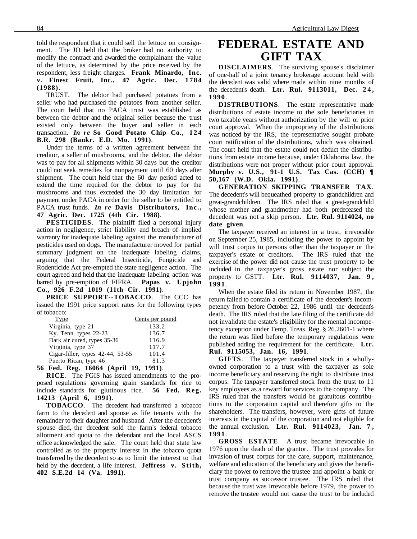told the respondent that it could sell the lettuce on consignment. The JO held that the broker had no authority to modify the contract and awarded the complainant the value of the lettuce, as determined by the price received by the respondent, less freight charges. **Frank Minardo, Inc. v. Finest Fruit, Inc., 47 Agric. Dec. 1784 (1988)**.

TRUST. The debtor had purchased potatoes from a seller who had purchased the potatoes from another seller. The court held that no PACA trust was established as between the debtor and the original seller because the trust existed only between the buyer and seller in each transaction. *In re* **So Good Potato Chip Co., 124 B.R. 298 (Bankr. E.D. Mo. 1991)**.

Under the terms of a written agreement between the creditor, a seller of mushrooms, and the debtor, the debtor was to pay for all shipments within 30 days but the creditor could not seek remedies for nonpayment until 60 days after shipment. The court held that the 60 day period acted to extend the time required for the debtor to pay for the mushrooms and thus exceeded the 30 day limitation for payment under PACA in order for the seller to be entitled to PACA trust funds. *In re* **Davis Distributors, Inc., 47 Agric. Dec. 1725 (4th Cir. 1988)**.

**PESTICIDES**. The plaintiff filed a personal injury action in negligence, strict liability and breach of implied warranty for inadequate labeling against the manufacturer of pesticides used on dogs. The manufacturer moved for partial summary judgment on the inadequate labeling claims, arguing that the Federal Insecticide, Fungicide and Rodenticide Act pre-empted the state negligence action. The court agreed and held that the inadequate labeling action was barred by pre-emption of FIFRA. **Papas v. Upjohn Co., 926 F.2d 1019 (11th Cir. 1991)**.

**PRICE SUPPORT--TOBACCO**. The CCC has issued the 1991 price support rates for the following types of tobacco:

| Type                                 | Cents per pound |
|--------------------------------------|-----------------|
| Virginia, type 21                    | 133.2           |
| Ky. Tenn. types 22-23                | 136.7           |
| Dark air cured, types 35-36          | 116.9           |
| Virginia, type 37                    | 117.7           |
| Cigar-filler, types 42-44, 53-55     | 101.4           |
| Puerto Rican, type 46                | 81.3            |
| 56 Fed. Reg. 16064 (April 19, 1991). |                 |

**RICE**. The FGIS has issued amendments to the proposed regulations governing grain standards for rice to include standards for glutinous rice. **56 Fed. Reg. 14213 (April 6, 1991)**.

**TOBACCO**. The decedent had transferred a tobacco farm to the decedent and spouse as life tenants with the remainder to their daughter and husband. After the decedent's spouse died, the decedent sold the farm's federal tobacco allotment and quota to the defendant and the local ASCS office acknowledged the sale. The court held that state law controlled as to the property interest in the tobacco quota transferred by the decedent so as to limit the interest to that held by the decedent, a life interest. **Jeffress v. Stith, 402 S.E.2d 14 (Va. 1991)**.

# **FEDERAL ESTATE AND GIFT TAX**

**DISCLAIMERS**. The surviving spouse's disclaimer of one-half of a joint tenancy brokerage account held with the decedent was valid where made within nine months of the decedent's death. **Ltr. Rul. 9113011, Dec. 2 4 , 1990**.

**DISTRIBUTIONS**. The estate representative made distributions of estate income to the sole beneficiaries in two taxable years without authorization by the will or prior court approval. When the impropriety of the distributions was noticed by the IRS, the representative sought probate court ratification of the distributions, which was obtained. The court held that the estate could not deduct the distributions from estate income because, under Oklahoma law, the distributions were not proper without prior court approval. **Murphy v. U.S., 91-1 U.S. Tax Cas. (CCH) ¶ 50,167 (W.D. Okla. 1991)**.

**GENERATION SKIPPING TRANSFER TAX**. The decedent's will bequeathed property to grandchildren and great-grandchildren. The IRS ruled that a great-grandchild whose mother and grandmother had both predeceased the decedent was not a skip person. **Ltr. Rul. 9114024, no date given**.

The taxpayer received an interest in a trust, irrevocable on September 25, 1985, including the power to appoint by will trust corpus to persons other than the taxpayer or the taxpayer's estate or creditors. The IRS ruled that the exercise of the power did not cause the trust property to be included in the taxpayer's gross estate nor subject the property to GSTT. **Ltr. Rul. 9114037, Jan. 9 , 1991**.

When the estate filed its return in November 1987, the return failed to contain a certificate of the decedent's incompetency from before October 22, 1986 until the decedent's death. The IRS ruled that the late filing of the certificate did not invalidate the estate's eligibility for the mental incompetency exception under Temp. Treas. Reg. § 26.2601-1 where the return was filed before the temporary regulations were published adding the requirement for the certificate. **Ltr. Rul. 9115053, Jan. 16, 1991**.

**GIFTS**. The taxpayer transferred stock in a whollyowned corporation to a trust with the taxpayer as sole income beneficiary and reserving the right to distribute trust corpus. The taxpayer transferred stock from the trust to 11 key employees as a reward for services to the company. The IRS ruled that the transfers would be gratuitous contributions to the corporation capital and therefore gifts to the shareholders. The transfers, however, were gifts of future interests in the capital of the corporation and not eligible for the annual exclusion. **Ltr. Rul. 9114023, Jan. 7 , 1991**.

**GROSS ESTATE**. A trust became irrevocable in 1976 upon the death of the grantor. The trust provides for invasion of trust corpus for the care, support, maintenance, welfare and education of the beneficiary and gives the beneficiary the power to remove the trustee and appoint a bank or trust company as successor trustee. The IRS ruled that because the trust was irrevocable before 1979, the power to remove the trustee would not cause the trust to be included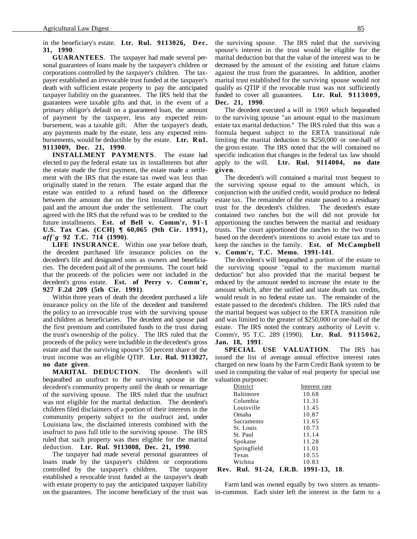in the beneficiary's estate. **Ltr. Rul. 9113026, Dec. 31, 1990**.

**GUARANTEES**. The taxpayer had made several personal guarantees of loans made by the taxpayer's children or corporations controlled by the taxpayer's children. The taxpayer established an irrevocable trust funded at the taxpayer's death with sufficient estate property to pay the anticipated taxpayer liability on the guarantees. The IRS held that the guarantees were taxable gifts and that, in the event of a primary obligor's default on a guaranteed loan, the amount of payment by the taxpayer, less any expected reimbursement, was a taxable gift. After the taxpayer's death, any payments made by the estate, less any expected reimbursements, would be deductible by the estate. **Ltr. Rul. 9113009, Dec. 21, 1990**.

**INSTALLMENT PAYMENTS**. The estate had elected to pay the federal estate tax in installments but after the estate made the first payment, the estate made a settlement with the IRS that the estate tax owed was less than originally stated in the return. The estate argued that the estate was entitled to a refund based on the difference between the amount due on the first installment actually paid and the amount due under the settlement. The court agreed with the IRS that the refund was to be credited to the future installments. **Est. of Bell v. Comm'r, 91-1 U.S. Tax Cas. (CCH) ¶ 60,065 (9th Cir. 1991),** *aff'g* **92 T.C. 714 (1990)**.

**LIFE INSURANCE**. Within one year before death, the decedent purchased life insurance policies on the decedent's life and designated sons as owners and beneficiaries. The decedent paid all of the premiums. The court held that the proceeds of the policies were not included in the decedent's gross estate. **Est. of Perry v. Comm'r, 927 F.2d 209 (5th Cir. 1991)**.

Within three years of death the decedent purchased a life insurance policy on the life of the decedent and transferred the policy to an irrevocable trust with the surviving spouse and children as beneficiaries. The decedent and spouse paid the first premium and contributed funds to the trust during the trust's ownership of the policy. The IRS ruled that the proceeds of the policy were includible in the decedent's gross estate and that the surviving spouse's 50 percent share of the trust income was an eligible QTIP. **Ltr. Rul. 9113027, no date given**.

**MARITAL DEDUCTION**. The decedent's will bequeathed an usufruct to the surviving spouse in the decedent's community property until the death or remarriage of the surviving spouse. The IRS ruled that the usufruct was not eligible for the marital deduction. The decedent's children filed disclaimers of a portion of their interests in the community property subject to the usufruct and, under Louisiana law, the disclaimed interests combined with the usufruct to pass full title to the surviving spouse. The IRS ruled that such property was then eligible for the marital deduction. **Ltr. Rul. 9113008, Dec. 21, 1990**.

The taxpayer had made several personal guarantees of loans made by the taxpayer's children or corporations controlled by the taxpayer's children. The taxpayer established a revocable trust funded at the taxpayer's death with estate property to pay the anticipated taxpayer liability on the guarantees. The income beneficiary of the trust was the surviving spouse. The IRS ruled that the surviving spouse's interest in the trust would be eligible for the marital deduction but that the value of the interest was to be decreased by the amount of the existing and future claims against the trust from the guarantees. In addition, another marital trust established for the surviving spouse would not qualify as QTIP if the revocable trust was not sufficiently funded to cover all guarantees. **Ltr. Rul. 9113009, Dec. 21, 1990**.

The decedent executed a will in 1969 which bequeathed to the surviving spouse "an amount equal to the maximum estate tax marital deduction." The IRS ruled that this was a formula bequest subject to the ERTA transitional rule limiting the marital deduction to \$250,000 or one-half of the gross estate. The IRS noted that the will contained no specific indication that changes in the federal tax law should apply to the will. **Ltr. Rul. 9114004, no date given**.

The decedent's will contained a marital trust bequest to the surviving spouse equal to the amount which, in conjunction with the unified credit, would produce no federal estate tax. The remainder of the estate passed to a residuary trust for the decedent's children. The decedent's estate contained two ranches but the will did not provide for apportioning the ranches between the marital and residuary trusts. The court apportioned the ranches to the two trusts based on the decedent's intentions to avoid estate tax and to keep the ranches in the family. **Est. of McCampbell v. Comm'r, T.C. Memo. 1991-141**.

The decedent's will bequeathed a portion of the estate to the surviving spouse "equal to the maximum marital deduction" but also provided that the marital bequest be reduced by the amount needed to increase the estate to the amount which, after the unified and state death tax credits, would result in no federal estate tax. The remainder of the estate passed to the decedent's children. The IRS ruled that the marital bequest was subject to the ERTA transition rule and was limited to the greater of \$250,000 or one-half of the estate. The IRS noted the contrary authority of Levitt v. Comm'r, 95 T.C. 289 (1990). **Ltr. Rul. 9115062, Jan. 18, 1991**.

**SPECIAL USE VALUATION**. The IRS has issued the list of average annual effective interest rates charged on new loans by the Farm Credit Bank system to be used in computing the value of real property for special use valuation purposes:

| Rev. Rul. 91-24, I.R.B. 1991-13, | 18.           |
|----------------------------------|---------------|
| Wichita                          | 10.83         |
| Texas                            | 10.55         |
| Springfield                      | 11.01         |
| Spokane                          | 11.28         |
| St. Paul                         | 11.14         |
| St. Louis                        | 10.73         |
| Sacramento                       | 11.65         |
| Omaha                            | 10.87         |
| Louisville                       | 11.45         |
| Columbia                         | 11.31         |
| Baltimore                        | 10.68         |
| District                         | Interest rate |
| valuation parposes.              |               |

Farm land was owned equally by two sisters as tenantsin-common. Each sister left the interest in the farm to a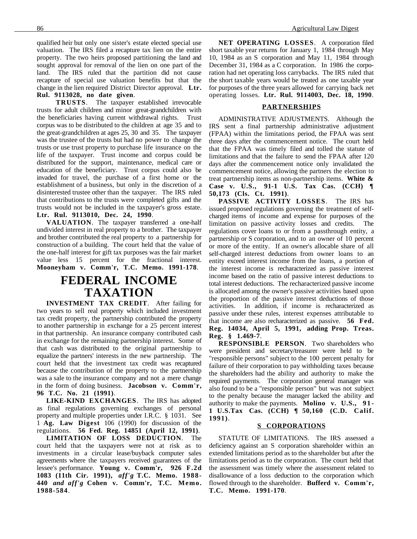qualified heir but only one sister's estate elected special use valuation. The IRS filed a recapture tax lien on the entire property. The two heirs proposed partitioning the land and sought approval for removal of the lien on one part of the land. The IRS ruled that the partition did not cause recapture of special use valuation benefits but that the change in the lien required District Director approval. **Ltr. Rul. 9113028, no date given**.

**TRUSTS**. The taxpayer established irrevocable trusts for adult children and minor great-grandchildren with the beneficiaries having current withdrawal rights. Trust corpus was to be distributed to the children at age 35 and to the great-grandchildren at ages 25, 30 and 35. The taxpayer was the trustee of the trusts but had no power to change the trusts or use trust property to purchase life insurance on the life of the taxpayer. Trust income and corpus could be distributed for the support, maintenance, medical care or education of the beneficiary. Trust corpus could also be invaded for travel, the purchase of a first home or the establishment of a business, but only in the discretion of a disinterested trustee other than the taxpayer. The IRS ruled that contributions to the trusts were completed gifts and the trusts would not be included in the taxpayer's gross estate. **Ltr. Rul. 9113010, Dec. 24, 1990**.

**VALUATION**. The taxpayer transferred a one-half undivided interest in real property to a brother. The taxpayer and brother contributed the real property to a partnership for construction of a building. The court held that the value of the one-half interest for gift tax purposes was the fair market value less 15 percent for the fractional interest. **Mooneyham v. Comm'r, T.C. Memo. 1991-178**.

## **FEDERAL INCOME TAXATION**

**INVESTMENT TAX CREDIT**. After failing for two years to sell real property which included investment tax credit property, the partnership contributed the property to another partnership in exchange for a 25 percent interest in that partnership. An insurance company contributed cash in exchange for the remaining partnership interest. Some of that cash was distributed to the original partnership to equalize the partners' interests in the new partnership. The court held that the investment tax credit was recaptured because the contribution of the property to the partnership was a sale to the insurance company and not a mere change in the form of doing business. **Jacobson v. Comm'r, 96 T.C. No. 21 (1991)**.

**LIKE-KIND EXCHANGES**. The IRS has adopted as final regulations governing exchanges of personal property and multiple properties under I.R.C. § 1031. See 1 **Ag. Law Digest** 106 (1990) for discussion of the regulations. **56 Fed. Reg. 14851 (April 12, 1991)**.

**LIMITATION OF LOSS DEDUCTION**. The court held that the taxpayers were not at risk as to investments in a circular lease/buyback computer sales agreements where the taxpayers received guarantees of the lessee's performance. **Young v. Comm'r, 926 F.2d 1083 (11th Cir. 1991),** *aff'g* **T.C. Memo. 1988- 440** *and aff'g* **Cohen v. Comm'r, T.C. Memo. 1988-584**.

**NET OPERATING LOSSES**. A corporation filed short taxable year returns for January 1, 1984 through May 10, 1984 as an S corporation and May 11, 1984 through December 31, 1984 as a C corporation. In 1986 the corporation had net operating loss carrybacks. The IRS ruled that the short taxable years would be treated as one taxable year for purposes of the three years allowed for carrying back net operating losses. **Ltr. Rul. 9114003, Dec. 18, 1990**.

#### **PARTNERSHIPS**

ADMINISTRATIVE ADJUSTMENTS. Although the IRS sent a final partnership administrative adjustment (FPAA) within the limitations period, the FPAA was sent three days after the commencement notice. The court held that the FPAA was timely filed and tolled the statute of limitations and that the failure to send the FPAA after 120 days after the commencement notice only invalidated the commencement notice, allowing the partners the election to treat partnership items as non-partnership items. **White & Case v. U.S., 91-1 U.S. Tax Cas. (CCH) ¶ 50,173 (Cls. Ct. 1991)**.

**PASSIVE ACTIVITY LOSSES**. The IRS has issued proposed regulations governing the treatment of selfcharged items of income and expense for purposes of the limitation on passive activity losses and credits. The regulations cover loans to or from a passthrough entity, a partnership or S corporation, and to an owner of 10 percent or more of the entity. If an owner's allocable share of all self-charged interest deductions from owner loans to an entity exceed interest income from the loans, a portion of the interest income is recharacterized as passive interest income based on the ratio of passive interest deductions to total interest deductions. The recharacterized passive income is allocated among the owner's passive activities based upon the proportion of the passive interest deductions of those activities. In addition, if income is recharacterized as passive under these rules, interest expenses attributable to that income are also recharacterized as passive. **56 Fed. Reg. 14034, April 5, 1991, adding Prop. Treas. Reg. § 1.469-7**.

**RESPONSIBLE PERSON**. Two shareholders who were president and secretary/treasurer were held to be "responsible persons" subject to the 100 percent penalty for failure of their corporation to pay withholding taxes because the shareholders had the ability and authority to make the required payments. The corporation general manager was also found to be a "responsible person" but was not subject to the penalty because the manager lacked the ability and authority to make the payments. **Molino v. U.S., 91- 1 U.S.Tax Cas. (CCH) ¶ 50,160 (C.D. Calif. 1991)**.

#### **S CORPORATIONS**

STATUTE OF LIMITATIONS. The IRS assessed a deficiency against an S corporation shareholder within an extended limitations period as to the shareholder but after the limitations period as to the corporation. The court held that the assessment was timely where the assessment related to disallowance of a loss deduction to the corporation which flowed through to the shareholder. **Bufferd v. Comm'r, T.C. Memo. 1991-170**.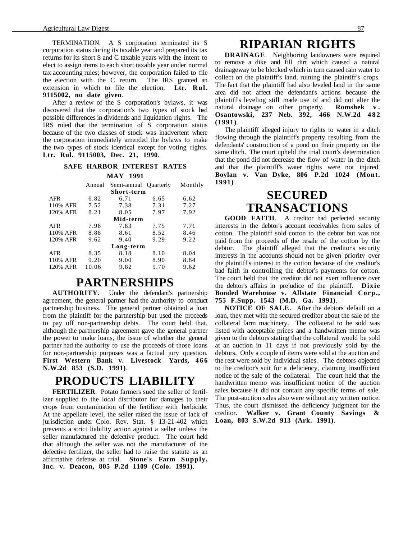TERMINATION. A S corporation terminated its S corporation status during its taxable year and prepared its tax returns for its short S and C taxable years with the intent to elect to assign items to each short taxable year under normal tax accounting rules; however, the corporation failed to file the election with the C return. The IRS granted an extension in which to file the election. **Ltr. Rul. 9115002, no date given**.

After a review of the S corporation's bylaws, it was discovered that the corporation's two types of stock had possible differences in dividends and liquidation rights. The IRS ruled that the termination of S corporation status because of the two classes of stock was inadvertent where the corporation immediately amended the bylaws to make the two types of stock identical except for voting rights. **Ltr. Rul. 9115003, Dec. 21, 1990**.

#### **SAFE HARBOR INTEREST RATES MAY 1991**

|            | Annual | Semi-annual Quarterly |      | Monthly |  |  |
|------------|--------|-----------------------|------|---------|--|--|
| Short-term |        |                       |      |         |  |  |
| <b>AFR</b> | 6.82   | 6.71                  | 6.65 | 6.62    |  |  |
| 110% AFR   | 7.52   | 7.38                  | 7.31 | 7.27    |  |  |
| 120% AFR   | 8.21   | 8.05                  | 7.97 | 7.92    |  |  |
| Mid-term   |        |                       |      |         |  |  |
| <b>AFR</b> | 7.98   | 7.83                  | 7.75 | 7.71    |  |  |
| 110% AFR   | 8.88   | 8.61                  | 8.52 | 8.46    |  |  |
| 120% AFR   | 9.62   | 9.40                  | 9.29 | 9.22    |  |  |
|            |        | Long-term             |      |         |  |  |
| <b>AFR</b> | 8.35   | 8.18                  | 8.10 | 8.04    |  |  |
| 110% AFR   | 9.20   | 9.00                  | 8.90 | 8.84    |  |  |
| 120% AFR   | 10.06  | 9.82                  | 9.70 | 9.62    |  |  |
|            |        |                       |      |         |  |  |

### **PARTNERSHIPS**

**AUTHORITY**. Under the defendant's partnership agreement, the general partner had the authority to conduct partnership business. The general partner obtained a loan from the plaintiff for the partnership but used the proceeds to pay off non-partnership debts. The court held that, although the partnership agreement gave the general partner the power to make loans, the issue of whether the general partner had the authority to use the proceeds of those loans for non-partnership purposes was a factual jury question. **First Western Bank v. Livestock Yards, 4 6 6 N.W.2d 853 (S.D. 1991)**.

## **PRODUCTS LIABILITY**

**FERTILIZER**. Potato farmers sued the seller of fertilizer supplied to the local distributor for damages to their crops from contamination of the fertilizer with herbicide. At the appellate level, the seller raised the issue of lack of jurisdiction under Colo. Rev. Stat. § 13-21-402 which prevents a strict liability action against a seller unless the seller manufactured the defective product. The court held that although the seller was not the manufacturer of the defective fertilizer, the seller had to raise the statute as an affirmative defense at trial. **Stone's Farm Supply, Inc. v. Deacon, 805 P.2d 1109 (Colo. 1991)**.

### **RIPARIAN RIGHTS**

**DRAINAGE**. Neighboring landowners were required to remove a dike and fill dirt which caused a natural drainageway to be blocked which in turn caused rain water to collect on the plaintiff's land, ruining the plaintiff's crops. The fact that the plaintiff had also leveled land in the same area did not affect the defendant's actions because the plaintiff's leveling still made use of and did not alter the natural drainage on other property. **Romshek v . Osantowski, 237 Neb. 392, 466 N.W.2d 482 (1991)**.

The plaintiff alleged injury to rights to water in a ditch flowing through the plaintiff's property resulting from the defendants' construction of a pond on their property on the same ditch. The court upheld the trial court's determination that the pond did not decrease the flow of water in the ditch and that the plaintiff's water rights were not injured. **Boylan v. Van Dyke, 806 P.2d 1024 (Mont. 1991)**.

## **SECURED TRANSACTIONS**

**GOOD FAITH**. A creditor had perfected security interests in the debtor's account receivables from sales of cotton. The plaintiff sold cotton to the debtor but was not paid from the proceeds of the resale of the cotton by the debtor. The plaintiff alleged that the creditor's security interests in the accounts should not be given priority over the plaintiff's interest in the cotton because of the creditor's bad faith in controlling the debtor's payments for cotton. The court held that the creditor did not exert influence over the debtor's affairs in prejudice of the plaintiff. **Dixie Bonded Warehouse v. Allstate Financial Corp., 755 F.Supp. 1543 (M.D. Ga. 1991)**.

**NOTICE OF SALE**. After the debtors' default on a loan, they met with the secured creditor about the sale of the collateral farm machinery. The collateral to be sold was listed with acceptable prices and a handwritten memo was given to the debtors stating that the collateral would be sold at an auction in 11 days if not previously sold by the debtors. Only a couple of items were sold at the auction and the rest were sold by individual sales. The debtors objected to the creditor's suit for a deficiency, claiming insufficient notice of the sale of the collateral. The court held that the handwritten memo was insufficient notice of the auction sales because it did not contain any specific terms of sale. The post-auction sales also were without any written notice. Thus, the court dismissed the deficiency judgment for the creditor. **Walker v. Grant County Savings & Loan, 803 S.W.2d 913 (Ark. 1991)**.